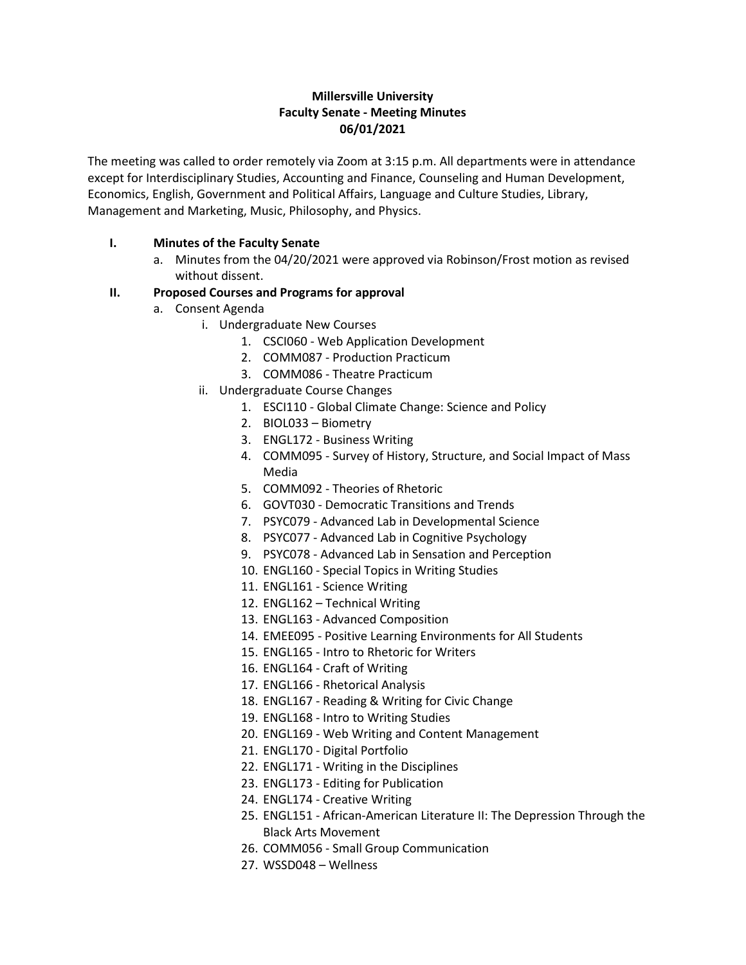# **Millersville University Faculty Senate - Meeting Minutes 06/01/2021**

The meeting was called to order remotely via Zoom at 3:15 p.m. All departments were in attendance except for Interdisciplinary Studies, Accounting and Finance, Counseling and Human Development, Economics, English, Government and Political Affairs, Language and Culture Studies, Library, Management and Marketing, Music, Philosophy, and Physics.

# **I. Minutes of the Faculty Senate**

a. Minutes from the 04/20/2021 were approved via Robinson/Frost motion as revised without dissent.

## **II. Proposed Courses and Programs for approval**

- a. Consent Agenda
	- i. Undergraduate New Courses
		- 1. CSCI060 Web Application Development
		- 2. COMM087 Production Practicum
		- 3. COMM086 Theatre Practicum
	- ii. Undergraduate Course Changes
		- 1. ESCI110 Global Climate Change: Science and Policy
		- 2. BIOL033 Biometry
		- 3. ENGL172 Business Writing
		- 4. COMM095 Survey of History, Structure, and Social Impact of Mass Media
		- 5. COMM092 Theories of Rhetoric
		- 6. GOVT030 Democratic Transitions and Trends
		- 7. PSYC079 Advanced Lab in Developmental Science
		- 8. PSYC077 Advanced Lab in Cognitive Psychology
		- 9. PSYC078 Advanced Lab in Sensation and Perception
		- 10. ENGL160 Special Topics in Writing Studies
		- 11. ENGL161 Science Writing
		- 12. ENGL162 Technical Writing
		- 13. ENGL163 Advanced Composition
		- 14. EMEE095 Positive Learning Environments for All Students
		- 15. ENGL165 Intro to Rhetoric for Writers
		- 16. ENGL164 Craft of Writing
		- 17. ENGL166 Rhetorical Analysis
		- 18. ENGL167 Reading & Writing for Civic Change
		- 19. ENGL168 Intro to Writing Studies
		- 20. ENGL169 Web Writing and Content Management
		- 21. ENGL170 Digital Portfolio
		- 22. ENGL171 Writing in the Disciplines
		- 23. ENGL173 Editing for Publication
		- 24. ENGL174 Creative Writing
		- 25. ENGL151 African-American Literature II: The Depression Through the Black Arts Movement
		- 26. COMM056 Small Group Communication
		- 27. WSSD048 Wellness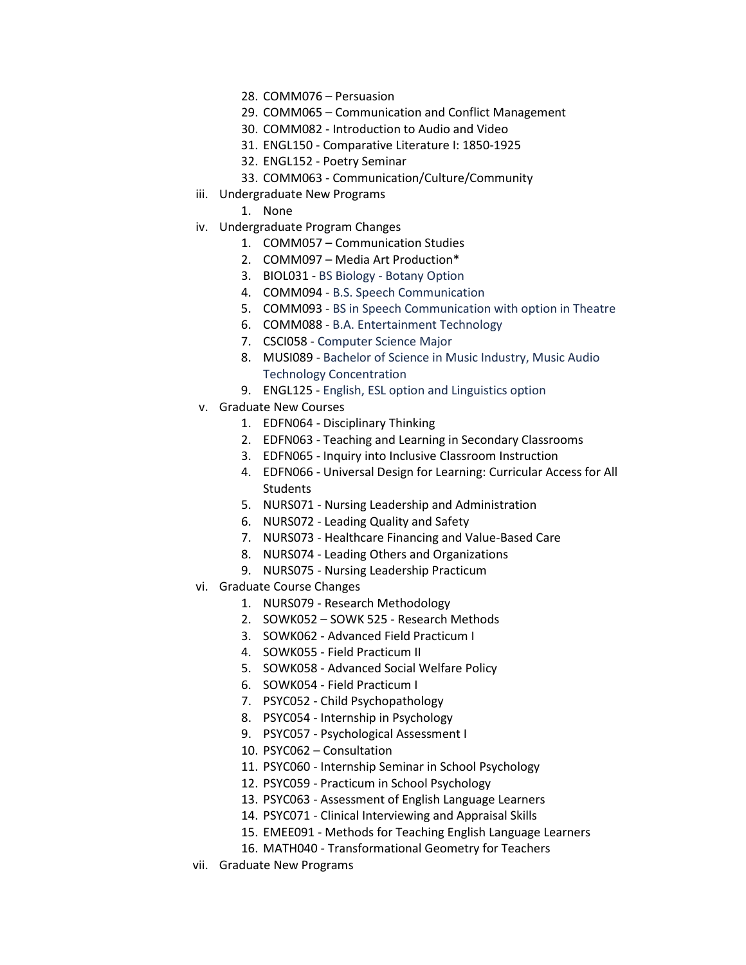- 28. COMM076 Persuasion
- 29. COMM065 Communication and Conflict Management
- 30. COMM082 Introduction to Audio and Video
- 31. ENGL150 Comparative Literature I: 1850-1925
- 32. ENGL152 Poetry Seminar
- 33. COMM063 Communication/Culture/Community
- iii. Undergraduate New Programs
	- 1. None
- iv. Undergraduate Program Changes
	- 1. COMM057 Communication Studies
	- 2. COMM097 Media Art Production\*
	- 3. BIOL031 BS Biology Botany Option
	- 4. COMM094 B.S. Speech Communication
	- 5. COMM093 BS in Speech Communication with option in Theatre
	- 6. COMM088 B.A. Entertainment Technology
	- 7. CSCI058 Computer Science Major
	- 8. MUSI089 Bachelor of Science in Music Industry, Music Audio Technology Concentration
	- 9. ENGL125 English, ESL option and Linguistics option
- v. Graduate New Courses
	- 1. EDFN064 Disciplinary Thinking
	- 2. EDFN063 Teaching and Learning in Secondary Classrooms
	- 3. EDFN065 Inquiry into Inclusive Classroom Instruction
	- 4. EDFN066 Universal Design for Learning: Curricular Access for All **Students**
	- 5. NURS071 Nursing Leadership and Administration
	- 6. NURS072 Leading Quality and Safety
	- 7. NURS073 Healthcare Financing and Value-Based Care
	- 8. NURS074 Leading Others and Organizations
	- 9. NURS075 Nursing Leadership Practicum
- vi. Graduate Course Changes
	- 1. NURS079 Research Methodology
	- 2. SOWK052 SOWK 525 Research Methods
	- 3. SOWK062 Advanced Field Practicum I
	- 4. SOWK055 Field Practicum II
	- 5. SOWK058 Advanced Social Welfare Policy
	- 6. SOWK054 Field Practicum I
	- 7. PSYC052 Child Psychopathology
	- 8. PSYC054 Internship in Psychology
	- 9. PSYC057 Psychological Assessment I
	- 10. PSYC062 Consultation
	- 11. PSYC060 Internship Seminar in School Psychology
	- 12. PSYC059 Practicum in School Psychology
	- 13. PSYC063 Assessment of English Language Learners
	- 14. PSYC071 Clinical Interviewing and Appraisal Skills
	- 15. EMEE091 Methods for Teaching English Language Learners
	- 16. MATH040 Transformational Geometry for Teachers
- vii. Graduate New Programs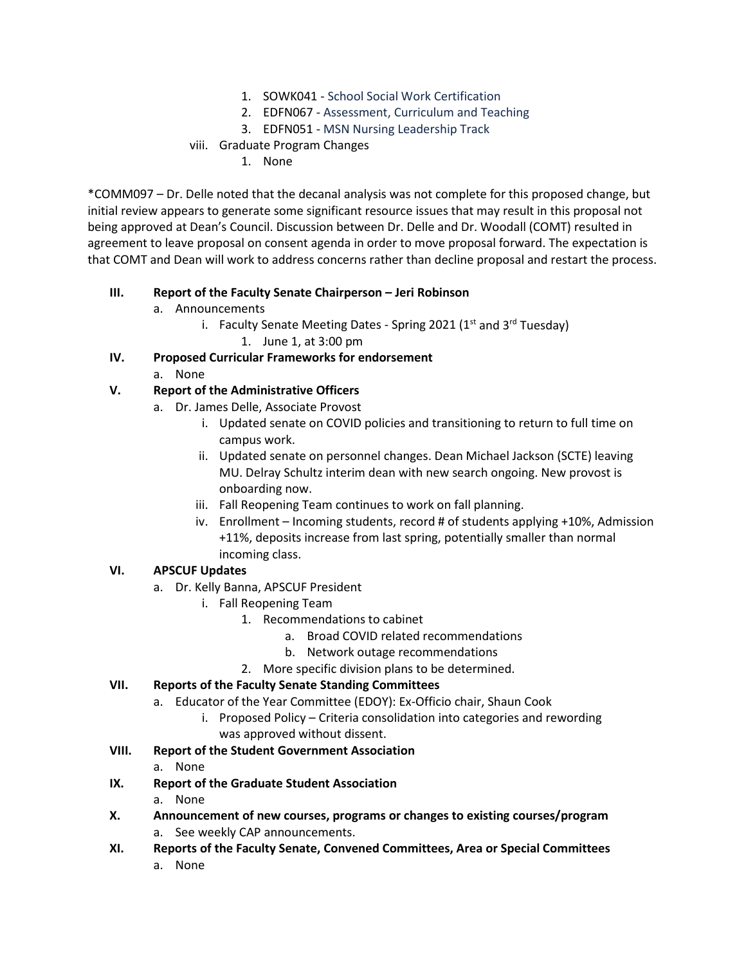- 1. SOWK041 School Social Work Certification
- 2. EDFN067 Assessment, Curriculum and Teaching
- 3. EDFN051 MSN Nursing Leadership Track

## viii. Graduate Program Changes

1. None

\*COMM097 – Dr. Delle noted that the decanal analysis was not complete for this proposed change, but initial review appears to generate some significant resource issues that may result in this proposal not being approved at Dean's Council. Discussion between Dr. Delle and Dr. Woodall (COMT) resulted in agreement to leave proposal on consent agenda in order to move proposal forward. The expectation is that COMT and Dean will work to address concerns rather than decline proposal and restart the process.

#### **III. Report of the Faculty Senate Chairperson – Jeri Robinson**

- a. Announcements
	- i. Faculty Senate Meeting Dates Spring 2021 ( $1<sup>st</sup>$  and  $3<sup>rd</sup>$  Tuesday)
		- 1. June 1, at 3:00 pm

## **IV. Proposed Curricular Frameworks for endorsement**

a. None

## **V. Report of the Administrative Officers**

- a. Dr. James Delle, Associate Provost
	- i. Updated senate on COVID policies and transitioning to return to full time on campus work.
	- ii. Updated senate on personnel changes. Dean Michael Jackson (SCTE) leaving MU. Delray Schultz interim dean with new search ongoing. New provost is onboarding now.
	- iii. Fall Reopening Team continues to work on fall planning.
	- iv. Enrollment Incoming students, record # of students applying +10%, Admission +11%, deposits increase from last spring, potentially smaller than normal incoming class.

# **VI. APSCUF Updates**

- a. Dr. Kelly Banna, APSCUF President
	- i. Fall Reopening Team
		- 1. Recommendations to cabinet
			- a. Broad COVID related recommendations
			- b. Network outage recommendations
		- 2. More specific division plans to be determined.

# **VII. Reports of the Faculty Senate Standing Committees**

- a. Educator of the Year Committee (EDOY): Ex-Officio chair, Shaun Cook
	- i. Proposed Policy Criteria consolidation into categories and rewording was approved without dissent.
- **VIII. Report of the Student Government Association**
	- a. None
- **IX. Report of the Graduate Student Association**

# a. None

- **X. Announcement of new courses, programs or changes to existing courses/program** a. See weekly CAP announcements.
- **XI. Reports of the Faculty Senate, Convened Committees, Area or Special Committees** a. None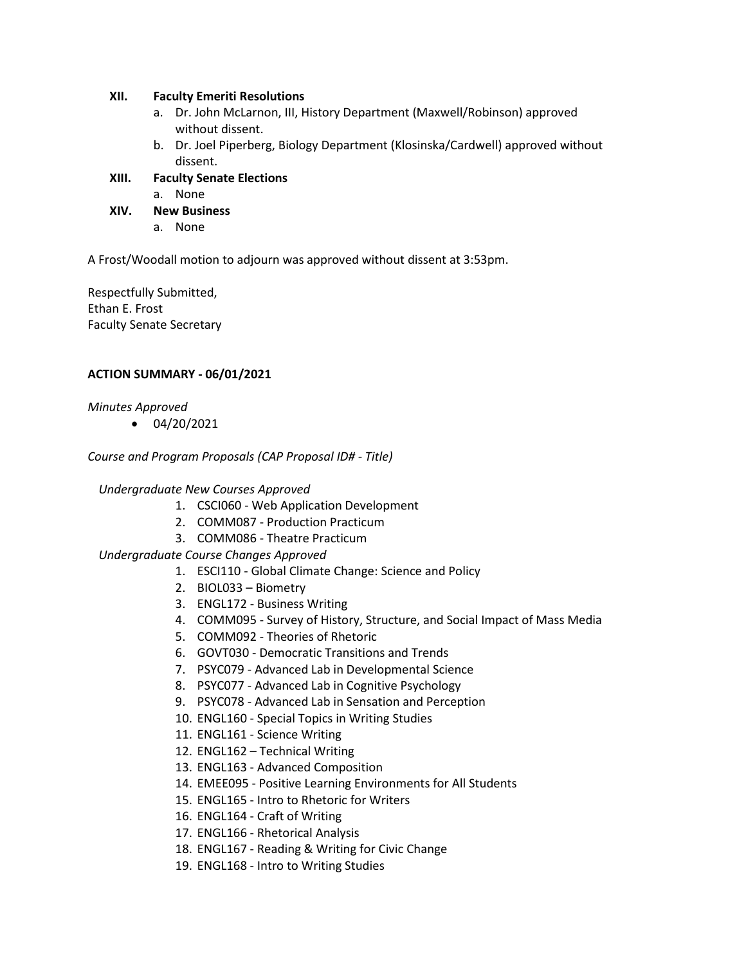#### **XII. Faculty Emeriti Resolutions**

- a. Dr. John McLarnon, III, History Department (Maxwell/Robinson) approved without dissent.
- b. Dr. Joel Piperberg, Biology Department (Klosinska/Cardwell) approved without dissent.
- **XIII. Faculty Senate Elections**
	- a. None
- **XIV. New Business**
	- a. None

A Frost/Woodall motion to adjourn was approved without dissent at 3:53pm.

Respectfully Submitted, Ethan E. Frost Faculty Senate Secretary

#### **ACTION SUMMARY - 06/01/2021**

*Minutes Approved*

 $\bullet$  04/20/2021

*Course and Program Proposals (CAP Proposal ID# - Title)*

#### *Undergraduate New Courses Approved*

- 1. CSCI060 Web Application Development
- 2. COMM087 Production Practicum
- 3. COMM086 Theatre Practicum

*Undergraduate Course Changes Approved*

- 1. ESCI110 Global Climate Change: Science and Policy
- 2. BIOL033 Biometry
- 3. ENGL172 Business Writing
- 4. COMM095 Survey of History, Structure, and Social Impact of Mass Media
- 5. COMM092 Theories of Rhetoric
- 6. GOVT030 Democratic Transitions and Trends
- 7. PSYC079 Advanced Lab in Developmental Science
- 8. PSYC077 Advanced Lab in Cognitive Psychology
- 9. PSYC078 Advanced Lab in Sensation and Perception
- 10. ENGL160 Special Topics in Writing Studies
- 11. ENGL161 Science Writing
- 12. ENGL162 Technical Writing
- 13. ENGL163 Advanced Composition
- 14. EMEE095 Positive Learning Environments for All Students
- 15. ENGL165 Intro to Rhetoric for Writers
- 16. ENGL164 Craft of Writing
- 17. ENGL166 Rhetorical Analysis
- 18. ENGL167 Reading & Writing for Civic Change
- 19. ENGL168 Intro to Writing Studies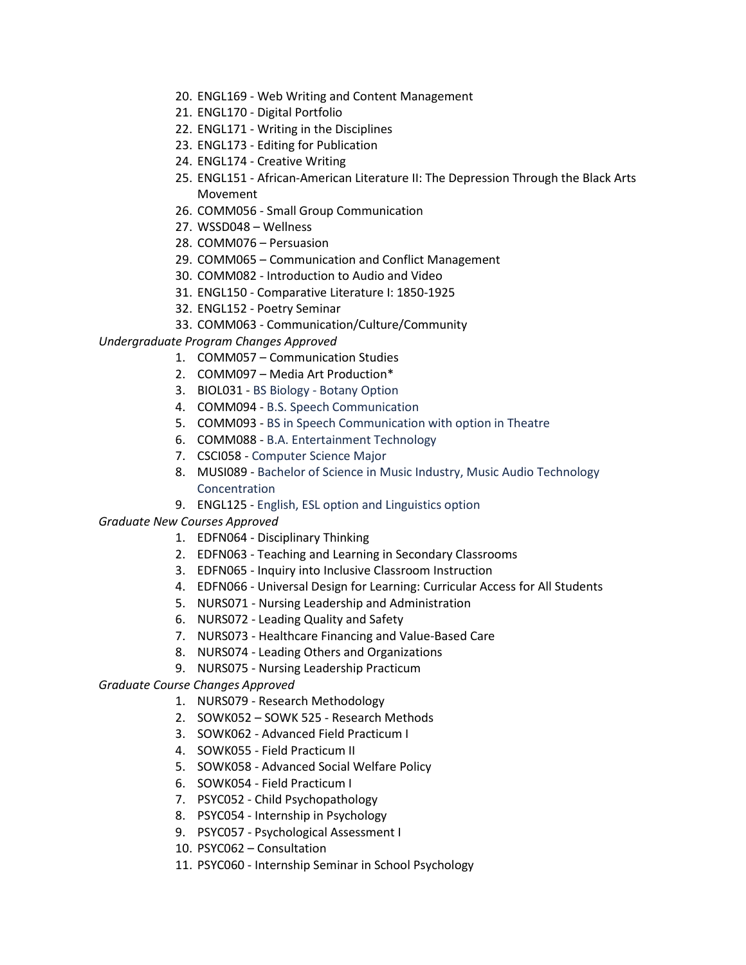- 20. ENGL169 Web Writing and Content Management
- 21. ENGL170 Digital Portfolio
- 22. ENGL171 Writing in the Disciplines
- 23. ENGL173 Editing for Publication
- 24. ENGL174 Creative Writing
- 25. ENGL151 African-American Literature II: The Depression Through the Black Arts Movement
- 26. COMM056 Small Group Communication
- 27. WSSD048 Wellness
- 28. COMM076 Persuasion
- 29. COMM065 Communication and Conflict Management
- 30. COMM082 Introduction to Audio and Video
- 31. ENGL150 Comparative Literature I: 1850-1925
- 32. ENGL152 Poetry Seminar
- 33. COMM063 Communication/Culture/Community

*Undergraduate Program Changes Approved*

- 1. COMM057 Communication Studies
- 2. COMM097 Media Art Production\*
- 3. BIOL031 BS Biology Botany Option
- 4. COMM094 B.S. Speech Communication
- 5. COMM093 BS in Speech Communication with option in Theatre
- 6. COMM088 B.A. Entertainment Technology
- 7. CSCI058 Computer Science Major
- 8. MUSI089 Bachelor of Science in Music Industry, Music Audio Technology Concentration
- 9. ENGL125 English, ESL option and Linguistics option

*Graduate New Courses Approved*

- 1. EDFN064 Disciplinary Thinking
- 2. EDFN063 Teaching and Learning in Secondary Classrooms
- 3. EDFN065 Inquiry into Inclusive Classroom Instruction
- 4. EDFN066 Universal Design for Learning: Curricular Access for All Students
- 5. NURS071 Nursing Leadership and Administration
- 6. NURS072 Leading Quality and Safety
- 7. NURS073 Healthcare Financing and Value-Based Care
- 8. NURS074 Leading Others and Organizations
- 9. NURS075 Nursing Leadership Practicum

*Graduate Course Changes Approved*

- 1. NURS079 Research Methodology
- 2. SOWK052 SOWK 525 Research Methods
- 3. SOWK062 Advanced Field Practicum I
- 4. SOWK055 Field Practicum II
- 5. SOWK058 Advanced Social Welfare Policy
- 6. SOWK054 Field Practicum I
- 7. PSYC052 Child Psychopathology
- 8. PSYC054 Internship in Psychology
- 9. PSYC057 Psychological Assessment I
- 10. PSYC062 Consultation
- 11. PSYC060 Internship Seminar in School Psychology